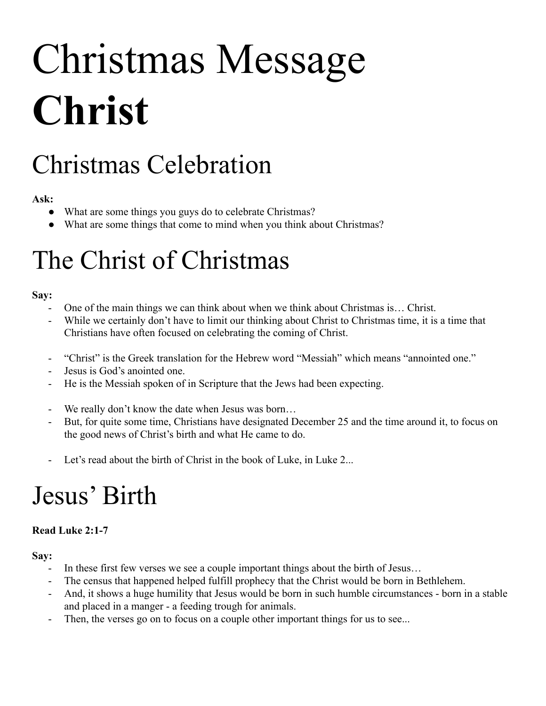# Christmas Message **Christ**

# Christmas Celebration

### **Ask:**

- What are some things you guys do to celebrate Christmas?
- What are some things that come to mind when you think about Christmas?

## The Christ of Christmas

### **Say:**

- One of the main things we can think about when we think about Christmas is… Christ.
- While we certainly don't have to limit our thinking about Christ to Christmas time, it is a time that Christians have often focused on celebrating the coming of Christ.
- "Christ" is the Greek translation for the Hebrew word "Messiah" which means "annointed one."
- Jesus is God's anointed one.
- He is the Messiah spoken of in Scripture that the Jews had been expecting.
- We really don't know the date when Jesus was born...
- But, for quite some time, Christians have designated December 25 and the time around it, to focus on the good news of Christ's birth and what He came to do.
- Let's read about the birth of Christ in the book of Luke, in Luke 2...

### Jesus' Birth

### **Read Luke 2:1-7**

### **Say:**

- In these first few verses we see a couple important things about the birth of Jesus...
- The census that happened helped fulfill prophecy that the Christ would be born in Bethlehem.
- And, it shows a huge humility that Jesus would be born in such humble circumstances born in a stable and placed in a manger - a feeding trough for animals.
- Then, the verses go on to focus on a couple other important things for us to see...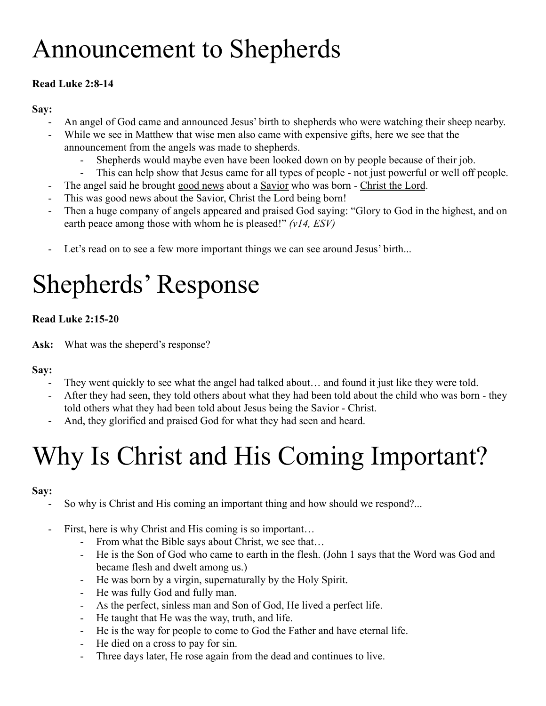# Announcement to Shepherds

### **Read Luke 2:8-14**

#### **Say:**

- An angel of God came and announced Jesus' birth to shepherds who were watching their sheep nearby.
- While we see in Matthew that wise men also came with expensive gifts, here we see that the announcement from the angels was made to shepherds.
	- Shepherds would maybe even have been looked down on by people because of their job.
	- This can help show that Jesus came for all types of people not just powerful or well off people.
- The angel said he brought good news about a Savior who was born Christ the Lord.
- This was good news about the Savior, Christ the Lord being born!
- Then a huge company of angels appeared and praised God saying: "Glory to God in the highest, and on earth peace among those with whom he is pleased!" *(v14, ESV)*
- Let's read on to see a few more important things we can see around Jesus' birth...

# Shepherds' Response

### **Read Luke 2:15-20**

**Ask:** What was the sheperd's response?

### **Say:**

- They went quickly to see what the angel had talked about… and found it just like they were told.
- After they had seen, they told others about what they had been told about the child who was born they told others what they had been told about Jesus being the Savior - Christ.
- And, they glorified and praised God for what they had seen and heard.

# Why Is Christ and His Coming Important?

### **Say:**

- So why is Christ and His coming an important thing and how should we respond?...
- First, here is why Christ and His coming is so important...
	- From what the Bible says about Christ, we see that…
	- He is the Son of God who came to earth in the flesh. (John 1 says that the Word was God and became flesh and dwelt among us.)
	- He was born by a virgin, supernaturally by the Holy Spirit.
	- He was fully God and fully man.
	- As the perfect, sinless man and Son of God, He lived a perfect life.
	- He taught that He was the way, truth, and life.
	- He is the way for people to come to God the Father and have eternal life.
	- He died on a cross to pay for sin.
	- Three days later, He rose again from the dead and continues to live.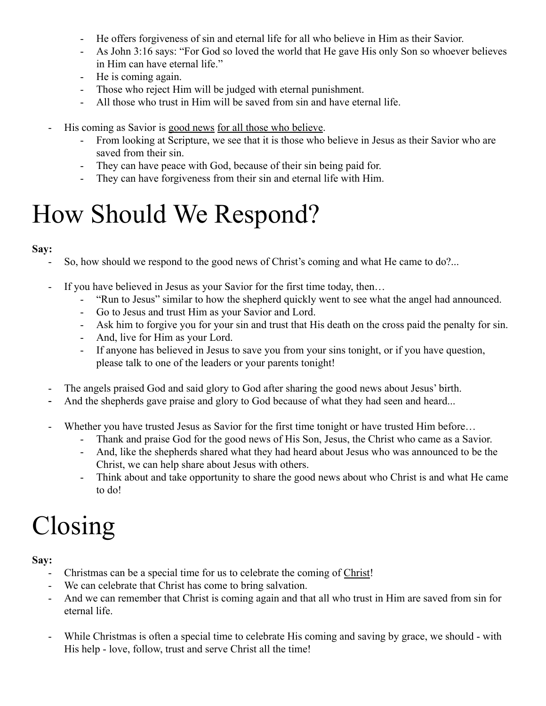- He offers forgiveness of sin and eternal life for all who believe in Him as their Savior.
- As John 3:16 says: "For God so loved the world that He gave His only Son so whoever believes in Him can have eternal life."
- He is coming again.
- Those who reject Him will be judged with eternal punishment.
- All those who trust in Him will be saved from sin and have eternal life.
- His coming as Savior is good news for all those who believe.
	- From looking at Scripture, we see that it is those who believe in Jesus as their Savior who are saved from their sin.
	- They can have peace with God, because of their sin being paid for.
	- They can have forgiveness from their sin and eternal life with Him.

## How Should We Respond?

#### **Say:**

- So, how should we respond to the good news of Christ's coming and what He came to do?...
- If you have believed in Jesus as your Savior for the first time today, then...
	- "Run to Jesus" similar to how the shepherd quickly went to see what the angel had announced.
	- Go to Jesus and trust Him as your Savior and Lord.
	- Ask him to forgive you for your sin and trust that His death on the cross paid the penalty for sin.
	- And, live for Him as your Lord.
	- If anyone has believed in Jesus to save you from your sins tonight, or if you have question, please talk to one of the leaders or your parents tonight!
- The angels praised God and said glory to God after sharing the good news about Jesus' birth.
- And the shepherds gave praise and glory to God because of what they had seen and heard...
- Whether you have trusted Jesus as Savior for the first time tonight or have trusted Him before...
	- Thank and praise God for the good news of His Son, Jesus, the Christ who came as a Savior.
	- And, like the shepherds shared what they had heard about Jesus who was announced to be the Christ, we can help share about Jesus with others.
	- Think about and take opportunity to share the good news about who Christ is and what He came to do!

# Closing

### **Say:**

- Christmas can be a special time for us to celebrate the coming of Christ!
- We can celebrate that Christ has come to bring salvation.
- And we can remember that Christ is coming again and that all who trust in Him are saved from sin for eternal life.
- While Christmas is often a special time to celebrate His coming and saving by grace, we should with His help - love, follow, trust and serve Christ all the time!